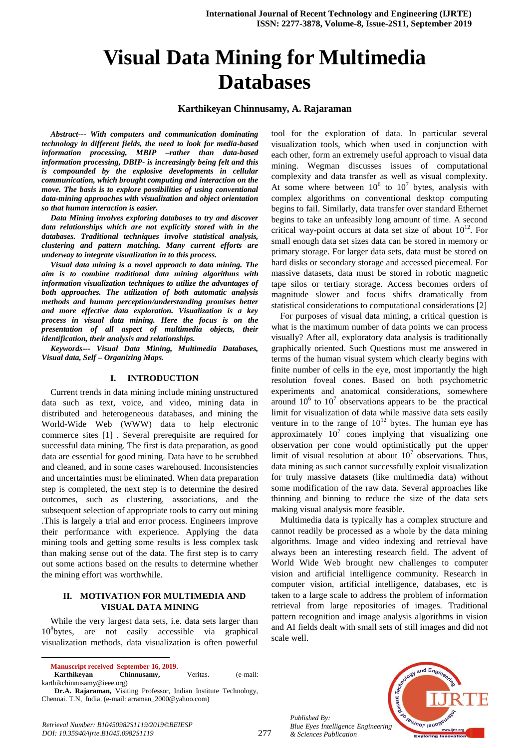# **Visual Data Mining for Multimedia Databases**

#### **Karthikeyan Chinnusamy, A. Rajaraman**

*Abstract--- With computers and communication dominating technology in different fields, the need to look for media-based information processing, MBIP –rather than data-based information processing, DBIP- is increasingly being felt and this is compounded by the explosive developments in cellular communication, which brought computing and interaction on the move. The basis is to explore possibilities of using conventional data-mining approaches with visualization and object orientation so that human interaction is easier.* 

*Data Mining involves exploring databases to try and discover data relationships which are not explicitly stored with in the databases. Traditional techniques involve statistical analysis, clustering and pattern matching. Many current efforts are underway to integrate visualization in to this process.*

*Visual data mining is a novel approach to data mining. The aim is to combine traditional data mining algorithms with information visualization techniques to utilize the advantages of both approaches. The utilization of both automatic analysis methods and human perception/understanding promises better and more effective data exploration. Visualization is a key process in visual data mining. Here the focus is on the presentation of all aspect of multimedia objects, their identification, their analysis and relationships.*

*Keywords--- Visual Data Mining, Multimedia Databases, Visual data, Self – Organizing Maps.*

### **I. INTRODUCTION**

Current trends in data mining include mining unstructured data such as text, voice, and video, mining data in distributed and heterogeneous databases, and mining the World-Wide Web (WWW) data to help electronic commerce sites [1] . Several prerequisite are required for successful data mining. The first is data preparation, as good data are essential for good mining. Data have to be scrubbed and cleaned, and in some cases warehoused. Inconsistencies and uncertainties must be eliminated. When data preparation step is completed, the next step is to determine the desired outcomes, such as clustering, associations, and the subsequent selection of appropriate tools to carry out mining .This is largely a trial and error process. Engineers improve their performance with experience. Applying the data mining tools and getting some results is less complex task than making sense out of the data. The first step is to carry out some actions based on the results to determine whether the mining effort was worthwhile.

## **II. MOTIVATION FOR MULTIMEDIA AND VISUAL DATA MINING**

While the very largest data sets, i.e. data sets larger than 10<sup>8</sup> bytes, are not easily accessible via graphical visualization methods, data visualization is often powerful

 $\overline{a}$ 

 **Karthikeyan Chinnusamy,** Veritas. (e-mail: [karthikchinnusamy@ieee.org\)](mailto:karthikchinnusamy@ieee.org)

tool for the exploration of data. In particular several visualization tools, which when used in conjunction with each other, form an extremely useful approach to visual data mining. Wegman discusses issues of computational complexity and data transfer as well as visual complexity. At some where between  $10^6$  to  $10^7$  bytes, analysis with complex algorithms on conventional desktop computing begins to fail. Similarly, data transfer over standard Ethernet begins to take an unfeasibly long amount of time. A second critical way-point occurs at data set size of about  $10^{12}$ . For small enough data set sizes data can be stored in memory or primary storage. For larger data sets, data must be stored on hard disks or secondary storage and accessed piecemeal. For massive datasets, data must be stored in robotic magnetic tape silos or tertiary storage. Access becomes orders of magnitude slower and focus shifts dramatically from statistical considerations to computational considerations [2]

For purposes of visual data mining, a critical question is what is the maximum number of data points we can process visually? After all, exploratory data analysis is traditionally graphically oriented. Such Questions must me answered in terms of the human visual system which clearly begins with finite number of cells in the eye, most importantly the high resolution foveal cones. Based on both psychometric experiments and anatomical considerations, somewhere around  $10^6$  to  $10^7$  observations appears to be the practical limit for visualization of data while massive data sets easily venture in to the range of  $10^{12}$  bytes. The human eye has approximately  $10^7$  cones implying that visualizing one observation per cone would optimistically put the upper limit of visual resolution at about  $10<sup>7</sup>$  observations. Thus, data mining as such cannot successfully exploit visualization for truly massive datasets (like multimedia data) without some modification of the raw data. Several approaches like thinning and binning to reduce the size of the data sets making visual analysis more feasible.

Multimedia data is typically has a complex structure and cannot readily be processed as a whole by the data mining algorithms. Image and video indexing and retrieval have always been an interesting research field. The advent of World Wide Web brought new challenges to computer vision and artificial intelligence community. Research in computer vision, artificial intelligence, databases, etc is taken to a large scale to address the problem of information retrieval from large repositories of images. Traditional pattern recognition and image analysis algorithms in vision and AI fields dealt with small sets of still images and did not scale well.

*Published By: Blue Eyes Intelligence Engineering & Sciences Publication* 



*Retrieval Number: B10450982S1119/2019©BEIESP DOI: 10.35940/ijrte.B1045.0982S1119*

**Manuscript received September 16, 2019.**

**Dr.A. Rajaraman,** Visiting Professor, Indian Institute Technology, Chennai. T.N, India. (e-mail: [arraman\\_2000@yahoo.com\)](mailto:arraman_2000@yahoo.com)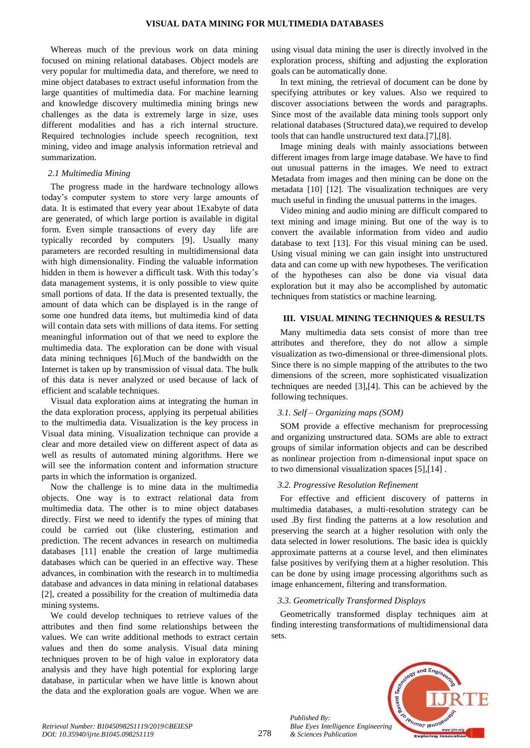Whereas much of the previous work on data mining focused on mining relational databases. Object models are very popular for multimedia data, and therefore, we need to mine object databases to extract useful information from the large quantities of multimedia data. For machine learning and knowledge discovery multimedia mining brings new challenges as the data is extremely large in size, uses different modalities and has a rich internal structure. Required technologies include speech recognition, text mining, video and image analysis information retrieval and summarization.

#### *2.1 Multimedia Mining*

The progress made in the hardware technology allows today's computer system to store very large amounts of data. It is estimated that every year about 1Exabyte of data are generated, of which large portion is available in digital form. Even simple transactions of every day life are typically recorded by computers [9]. Usually many parameters are recorded resulting in multidimensional data with high dimensionality. Finding the valuable information hidden in them is however a difficult task. With this today's data management systems, it is only possible to view quite small portions of data. If the data is presented textually, the amount of data which can be displayed is in the range of some one hundred data items, but multimedia kind of data will contain data sets with millions of data items. For setting meaningful information out of that we need to explore the multimedia data. The exploration can be done with visual data mining techniques [6].Much of the bandwidth on the Internet is taken up by transmission of visual data. The bulk of this data is never analyzed or used because of lack of efficient and scalable techniques.

Visual data exploration aims at integrating the human in the data exploration process, applying its perpetual abilities to the multimedia data. Visualization is the key process in Visual data mining. Visualization technique can provide a clear and more detailed view on different aspect of data as well as results of automated mining algorithms. Here we will see the information content and information structure parts in which the information is organized.

Now the challenge is to mine data in the multimedia objects. One way is to extract relational data from multimedia data. The other is to mine object databases directly. First we need to identify the types of mining that could be carried out (like clustering, estimation and prediction. The recent advances in research on multimedia databases [11] enable the creation of large multimedia databases which can be queried in an effective way. These advances, in combination with the research in to multimedia database and advances in data mining in relational databases [2], created a possibility for the creation of multimedia data mining systems.

We could develop techniques to retrieve values of the attributes and then find some relationships between the values. We can write additional methods to extract certain values and then do some analysis. Visual data mining techniques proven to be of high value in exploratory data analysis and they have high potential for exploring large database, in particular when we have little is known about the data and the exploration goals are vogue. When we are using visual data mining the user is directly involved in the exploration process, shifting and adjusting the exploration goals can be automatically done.

In text mining, the retrieval of document can be done by specifying attributes or key values. Also we required to discover associations between the words and paragraphs. Since most of the available data mining tools support only relational databases (Structured data),we required to develop tools that can handle unstructured text data.[7],[8].

Image mining deals with mainly associations between different images from large image database. We have to find out unusual patterns in the images. We need to extract Metadata from images and then mining can be done on the metadata [10] [12]. The visualization techniques are very much useful in finding the unusual patterns in the images.

Video mining and audio mining are difficult compared to text mining and image mining. But one of the way is to convert the available information from video and audio database to text [13]. For this visual mining can be used. Using visual mining we can gain insight into unstructured data and can come up with new hypotheses. The verification of the hypotheses can also be done via visual data exploration but it may also be accomplished by automatic techniques from statistics or machine learning.

# **III. VISUAL MINING TECHNIQUES & RESULTS**

Many multimedia data sets consist of more than tree attributes and therefore, they do not allow a simple visualization as two-dimensional or three-dimensional plots. Since there is no simple mapping of the attributes to the two dimensions of the screen, more sophisticated visualization techniques are needed [3],[4]. This can be achieved by the following techniques.

# *3.1. Self – Organizing maps (SOM)*

SOM provide a effective mechanism for preprocessing and organizing unstructured data. SOMs are able to extract groups of similar information objects and can be described as nonlinear projection from n-dimensional input space on to two dimensional visualization spaces [5],[14] .

# *3.2. Progressive Resolution Refinement*

For effective and efficient discovery of patterns in multimedia databases, a multi-resolution strategy can be used .By first finding the patterns at a low resolution and preserving the search at a higher resolution with only the data selected in lower resolutions. The basic idea is quickly approximate patterns at a course level, and then eliminates false positives by verifying them at a higher resolution. This can be done by using image processing algorithms such as image enhancement, filtering and transformation.

# *3.3. Geometrically Transformed Displays*

Geometrically transformed display techniques aim at finding interesting transformations of multidimensional data sets.



*Published By:*

*& Sciences Publication*